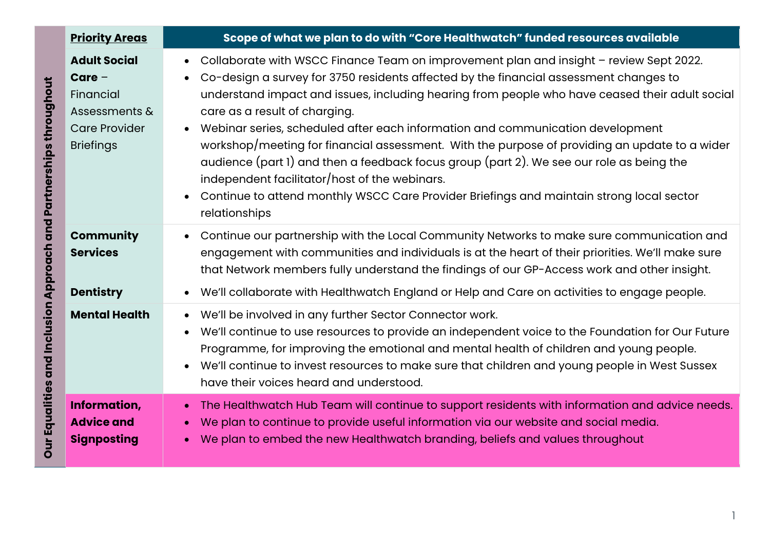|                                                                                          | <b>Priority Areas</b> | Scope of what we plan to do with "Core Healthwatch" funded resources available                                                                                                                                                                                                                                                                                                                                                                                                                                                                                                                                                                                                                                                                                               |
|------------------------------------------------------------------------------------------|-----------------------|------------------------------------------------------------------------------------------------------------------------------------------------------------------------------------------------------------------------------------------------------------------------------------------------------------------------------------------------------------------------------------------------------------------------------------------------------------------------------------------------------------------------------------------------------------------------------------------------------------------------------------------------------------------------------------------------------------------------------------------------------------------------------|
| <b>Adult Social</b><br>$Care -$<br>Financial<br><b>Care Provider</b><br><b>Briefings</b> | Assessments &         | Collaborate with WSCC Finance Team on improvement plan and insight - review Sept 2022.<br>Co-design a survey for 3750 residents affected by the financial assessment changes to<br>understand impact and issues, including hearing from people who have ceased their adult social<br>care as a result of charging.<br>Webinar series, scheduled after each information and communication development<br>$\bullet$<br>workshop/meeting for financial assessment. With the purpose of providing an update to a wider<br>audience (part 1) and then a feedback focus group (part 2). We see our role as being the<br>independent facilitator/host of the webinars.<br>Continue to attend monthly WSCC Care Provider Briefings and maintain strong local sector<br>relationships |
| <b>Community</b><br><b>Services</b>                                                      |                       | Continue our partnership with the Local Community Networks to make sure communication and<br>engagement with communities and individuals is at the heart of their priorities. We'll make sure<br>that Network members fully understand the findings of our GP-Access work and other insight.                                                                                                                                                                                                                                                                                                                                                                                                                                                                                 |
| <b>Dentistry</b>                                                                         |                       | We'll collaborate with Healthwatch England or Help and Care on activities to engage people.                                                                                                                                                                                                                                                                                                                                                                                                                                                                                                                                                                                                                                                                                  |
|                                                                                          | <b>Mental Health</b>  | We'll be involved in any further Sector Connector work.<br>$\bullet$<br>We'll continue to use resources to provide an independent voice to the Foundation for Our Future<br>Programme, for improving the emotional and mental health of children and young people.<br>We'll continue to invest resources to make sure that children and young people in West Sussex<br>have their voices heard and understood.                                                                                                                                                                                                                                                                                                                                                               |
| Information,<br><b>Advice and</b><br><b>Signposting</b>                                  |                       | The Healthwatch Hub Team will continue to support residents with information and advice needs.<br>$\bullet$<br>We plan to continue to provide useful information via our website and social media.<br>We plan to embed the new Healthwatch branding, beliefs and values throughout                                                                                                                                                                                                                                                                                                                                                                                                                                                                                           |